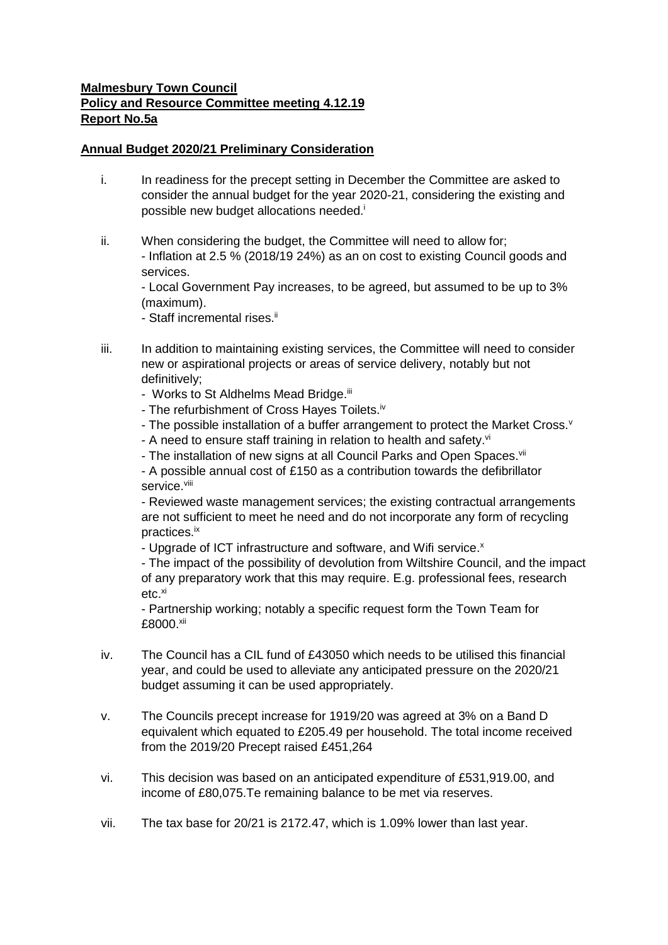## **Malmesbury Town Council Policy and Resource Committee meeting 4.12.19 Report No.5a**

## **Annual Budget 2020/21 Preliminary Consideration**

- i. In readiness for the precept setting in December the Committee are asked to consider the annual budget for the year 2020-21, considering the existing and possible new budget allocations needed.<sup>i</sup>
- ii. When considering the budget, the Committee will need to allow for; - Inflation at 2.5 % (2018/19 24%) as an on cost to existing Council goods and services.

- Local Government Pay increases, to be agreed, but assumed to be up to 3% (maximum).

- Staff incremental rises.<sup>ii</sup>

- iii. In addition to maintaining existing services, the Committee will need to consider new or aspirational projects or areas of service delivery, notably but not definitively;
	- Works to St Aldhelms Mead Bridge.<sup>iii</sup>
	- The refurbishment of Cross Hayes Toilets.<sup>iv</sup>
	- The possible installation of a buffer arrangement to protect the Market Cross. $v$
	- A need to ensure staff training in relation to health and safety.vi
	- The installation of new signs at all Council Parks and Open Spaces.<sup>vii</sup>

- A possible annual cost of £150 as a contribution towards the defibrillator service.<sup>viii</sup>

- Reviewed waste management services; the existing contractual arrangements are not sufficient to meet he need and do not incorporate any form of recycling practices.ix

- Upgrade of ICT infrastructure and software, and Wifi service.<sup>x</sup>

- The impact of the possibility of devolution from Wiltshire Council, and the impact of any preparatory work that this may require. E.g. professional fees, research  $etc.<sup>xi</sup>$ 

- Partnership working; notably a specific request form the Town Team for £8000.xii

- iv. The Council has a CIL fund of £43050 which needs to be utilised this financial year, and could be used to alleviate any anticipated pressure on the 2020/21 budget assuming it can be used appropriately.
- v. The Councils precept increase for 1919/20 was agreed at 3% on a Band D equivalent which equated to £205.49 per household. The total income received from the 2019/20 Precept raised £451,264
- vi. This decision was based on an anticipated expenditure of £531,919.00, and income of £80,075.Te remaining balance to be met via reserves.
- vii. The tax base for 20/21 is 2172.47, which is 1.09% lower than last year.